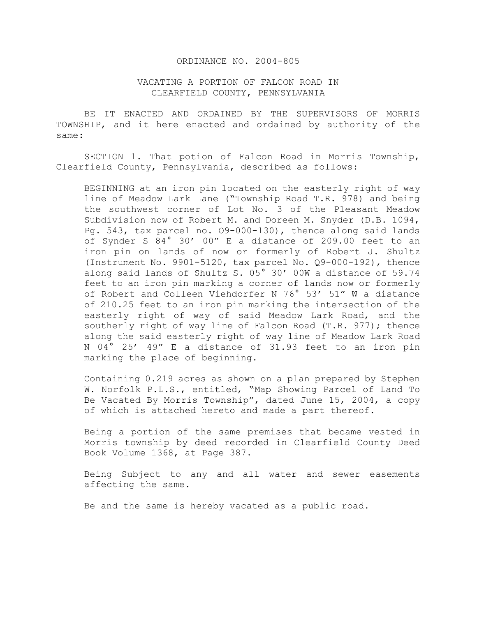## ORDINANCE NO. 2004-805

## VACATING A PORTION OF FALCON ROAD IN CLEARFIELD COUNTY, PENNSYLVANIA

 BE IT ENACTED AND ORDAINED BY THE SUPERVISORS OF MORRIS TOWNSHIP, and it here enacted and ordained by authority of the same:

 SECTION 1. That potion of Falcon Road in Morris Township, Clearfield County, Pennsylvania, described as follows:

BEGINNING at an iron pin located on the easterly right of way line of Meadow Lark Lane ("Township Road T.R. 978) and being the southwest corner of Lot No. 3 of the Pleasant Meadow Subdivision now of Robert M. and Doreen M. Snyder (D.B. 1094, Pg. 543, tax parcel no. O9-000-130), thence along said lands of Synder S 84° 30' 00" E a distance of 209.00 feet to an iron pin on lands of now or formerly of Robert J. Shultz (Instrument No. 9901-5120, tax parcel No. Q9-000-192), thence along said lands of Shultz S. 05° 30' 00W a distance of 59.74 feet to an iron pin marking a corner of lands now or formerly of Robert and Colleen Viehdorfer N 76° 53' 51" W a distance of 210.25 feet to an iron pin marking the intersection of the easterly right of way of said Meadow Lark Road, and the southerly right of way line of Falcon Road (T.R. 977); thence along the said easterly right of way line of Meadow Lark Road N 04° 25' 49" E a distance of 31.93 feet to an iron pin marking the place of beginning.

Containing 0.219 acres as shown on a plan prepared by Stephen W. Norfolk P.L.S., entitled, "Map Showing Parcel of Land To Be Vacated By Morris Township", dated June 15, 2004, a copy of which is attached hereto and made a part thereof.

Being a portion of the same premises that became vested in Morris township by deed recorded in Clearfield County Deed Book Volume 1368, at Page 387.

Being Subject to any and all water and sewer easements affecting the same.

Be and the same is hereby vacated as a public road.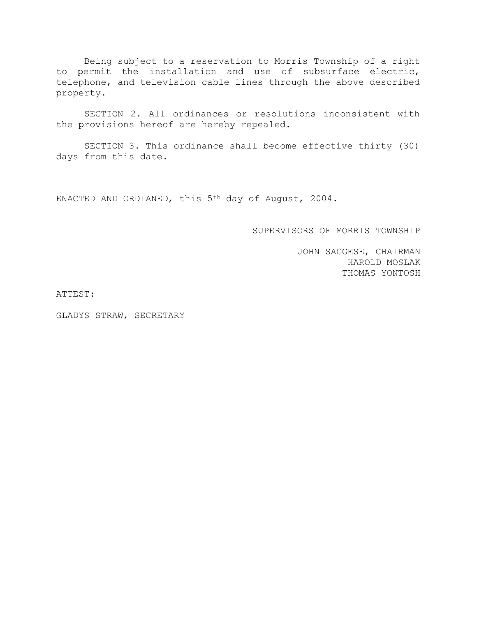Being subject to a reservation to Morris Township of a right to permit the installation and use of subsurface electric, telephone, and television cable lines through the above described property.

SECTION 2. All ordinances or resolutions inconsistent with the provisions hereof are hereby repealed.

SECTION 3. This ordinance shall become effective thirty (30) days from this date.

ENACTED AND ORDIANED, this 5th day of August, 2004.

SUPERVISORS OF MORRIS TOWNSHIP

JOHN SAGGESE, CHAIRMAN HAROLD MOSLAK THOMAS YONTOSH

ATTEST:

GLADYS STRAW, SECRETARY